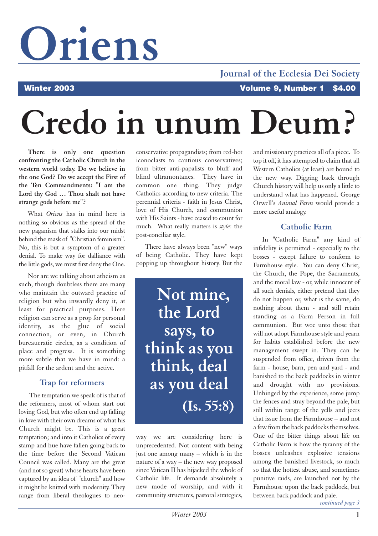# **Oriens**

#### **Journal of the Ecclesia Dei Society**

# **Credo in unum Deum?**

**There is only one question confronting the Catholic Church in the western world today. Do we believe in the one God? Do we accept the First of the Ten Commandments: "I am the Lord thy God … Thou shalt not have strange gods before me"?**

What *Oriens* has in mind here is nothing so obvious as the spread of the new paganism that stalks into our midst behind the mask of "Christian feminism". No, this is but a symptom of a greater denial. To make way for dalliance with the little gods, we must first deny the One.

Nor are we talking about atheism as such, though doubtless there are many who maintain the outward practice of religion but who inwardly deny it, at least for practical purposes. Here religion can serve as a prop for personal identity, as the glue of social connection, or even, in Church bureaucratic circles, as a condition of place and progress. It is something more subtle that we have in mind: a pitfall for the ardent and the active.

#### **Trap for reformers**

The temptation we speak of is that of the reformers, most of whom start out loving God, but who often end up falling in love with their own dreams of what his Church might be. This is a great temptation; and into it Catholics of every stamp and hue have fallen going back to the time before the Second Vatican Council was called. Many are the great (and not so great) whose hearts have been captured by an idea of "church" and how it might be knitted with modernity. They range from liberal theologues to neoconservative propagandists; from red-hot iconoclasts to cautious conservatives; from bitter anti-papalists to bluff and blind ultramontanes. They have in common one thing. They judge Catholics according to new criteria. The perennial criteria - faith in Jesus Christ, love of His Church, and communion with His Saints - have ceased to count for much. What really matters is *style*: the post-conciliar style.

There have always been "new" ways of being Catholic. They have kept popping up throughout history. But the

**Not mine, the Lord says, to think as you think, deal as you deal (Is. 55:8)**

way we are considering here is unprecedented. Not content with being just one among many – which is in the nature of a way – the new way proposed since Vatican II has hijacked the whole of Catholic life. It demands absolutely a new mode of worship, and with it community structures, pastoral strategies, and missionary practices all of a piece. To top it off, it has attempted to claim that all Western Catholics (at least) are bound to the new way. Digging back through Church history will help us only a little to understand what has happened. George Orwell's *Animal Farm* would provide a more useful analogy.

#### **Catholic Farm**

In "Catholic Farm" any kind of infidelity is permitted - especially to the bosses - except failure to conform to Farmhouse style. You can deny Christ, the Church, the Pope, the Sacraments, and the moral law - or, while innocent of all such denials, either pretend that they do not happen or, what is the same, do nothing about them - and still retain standing as a Farm Person in full communion. But woe unto those that will not adopt Farmhouse style and yearn for habits established before the new management swept in. They can be suspended from office, driven from the farm - house, barn, pen and yard - and banished to the back paddocks in winter and drought with no provisions. Unhinged by the experience, some jump the fences and stray beyond the pale, but still within range of the yells and jeers that issue from the Farmhouse – and not a few from the back paddocks themselves. One of the bitter things about life on Catholic Farm is how the tyranny of the bosses unleashes explosive tensions among the banished livestock, so much so that the hottest abuse, and sometimes punitive raids, are launched not by the Farmhouse upon the back paddock, but between back paddock and pale.

*continued page 3*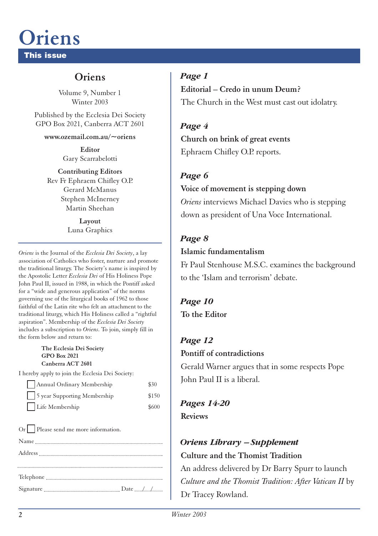## **Oriens**

**This issue**

#### **Oriens**

Volume 9, Number 1 Winter 2003

Published by the Ecclesia Dei Society GPO Box 2021, Canberra ACT 2601

**www.ozemail.com.au/~oriens**

**Editor** Gary Scarrabelotti

**Contributing Editors** Rev Fr Ephraem Chifley O.P. Gerard McManus Stephen McInerney Martin Sheehan

> **Layout** Luna Graphics

*Oriens* is the Journal of the *Ecclesia Dei Society*, a lay association of Catholics who foster, nurture and promote the traditional liturgy. The Society's name is inspired by the Apostolic Letter *Ecclesia Dei* of His Holiness Pope John Paul II, issued in 1988, in which the Pontiff asked for a "wide and generous application" of the norms governing use of the liturgical books of 1962 to those faithful of the Latin rite who felt an attachment to the traditional liturgy, which His Holiness called a "rightful aspiration". Membership of the *Ecclesia Dei Society* includes a subscription to *Oriens*. To join, simply fill in the form below and return to:

#### **The Ecclesia Dei Society GPO Box 2021 Canberra ACT 2601**

I hereby apply to join the Ecclesia Dei Society:

| Annual Ordinary Membership               | \$30  |
|------------------------------------------|-------|
| $\frac{1}{5}$ year Supporting Membership | \$150 |
| Life Membership                          | \$600 |

Or Please send me more information. Name Address

*Page 1*

**Editorial – Credo in unum Deum?** The Church in the West must cast out idolatry.

*Page 4* **Church on brink of great events** Ephraem Chifley O.P. reports.

#### *Page 6*

#### **Voice of movement is stepping down**

*Oriens* interviews Michael Davies who is stepping down as president of Una Voce International.

#### *Page 8*

#### **Islamic fundamentalism**

Fr Paul Stenhouse M.S.C. examines the background to the 'Islam and terrorism' debate.

### *Page 10*

**To the Editor**

### *Page 12*

#### **Pontiff of contradictions**

Gerald Warner argues that in some respects Pope John Paul II is a liberal.

#### *Pages 14-20* **Reviews**

#### *Oriens Library – Supplement* **Culture and the Thomist Tradition**

An address delivered by Dr Barry Spurr to launch *Culture and the Thomist Tradition: After Vatican II* by Dr Tracey Rowland.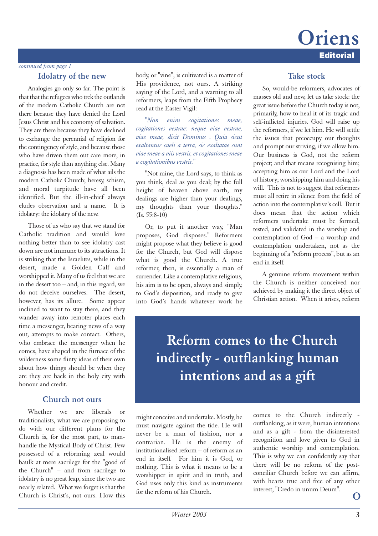### **Editorial Oriens**

#### *continued from page 1*

#### **Idolatry of the new**

Analogies go only so far. The point is that that the refugees who trek the outlands of the modern Catholic Church are not there because they have denied the Lord Jesus Christ and his economy of salvation. They are there because they have declined to exchange the perennial of religion for the contingency of style, and because those who have driven them out care more, in practice, for style than anything else. Many a diagnosis has been made of what ails the modern Catholic Church; heresy, schism, and moral turpitude have all been identified. But the ill-in-chief always eludes observation and a name. It is idolatry: the idolatry of the new.

Those of us who say that we stand for Catholic tradition and would love nothing better than to see idolatry cast down are not immune to its attractions. It is striking that the Israelites, while in the desert, made a Golden Calf and worshipped it. Many of us feel that we are in the desert too – and, in this regard, we do not deceive ourselves. The desert, however, has its allure. Some appear inclined to want to stay there, and they wander away into remoter places each time a messenger, bearing news of a way out, attempts to make contact. Others, who embrace the messenger when he comes, have shaped in the furnace of the wilderness some flinty ideas of their own about how things should be when they are they are back in the holy city with honour and credit.

#### **Church not ours**

Whether we are liberals or traditionalists, what we are proposing to do with our different plans for the Church is, for the most part, to manhandle the Mystical Body of Christ. Few possessed of a reforming zeal would baulk at mere sacrilege for the "good of the Church" – and from sacrilege to idolatry is no great leap, since the two are nearly related. What we forget is that the Church is Christ's, not ours. How this

body, or "vine", is cultivated is a matter of His providence, not ours. A striking saying of the Lord, and a warning to all reformers, leaps from the Fifth Prophecy read at the Easter Vigil:

*"Non enim cogitationes meae, cogitationes vestrae: neque viae vestrae, viae meae, dicit Dominus . Quia sicut exaltantur caeli a terra, sic exaltatae sunt viae meae a viis vestris, et cogitationes meae a cogitationibus vestris."*

"Not mine, the Lord says, to think as you think, deal as you deal; by the full height of heaven above earth, my dealings are higher than your dealings, my thoughts than your thoughts."  $(I<sub>s</sub>, 55:8-10)$ 

Or, to put it another way, "Man proposes, God disposes." Reformers might propose what they believe is good for the Church, but God will dispose what is good the Church. A true reformer, then, is essentially a man of surrender. Like a contemplative religious, his aim is to be open, always and simply, to God's disposition, and ready to give into God's hands whatever work he

#### **Take stock**

So, would-be reformers, advocates of masses old and new, let us take stock: the great issue before the Church today is not, primarily, how to heal it of its tragic and self-inflicted injuries. God will raise up the reformers, if we let him. He will settle the issues that preoccupy our thoughts and prompt our striving, if we allow him. Our business is God, not the reform project; and that means recognising him; accepting him as our Lord and the Lord of history; worshipping him and doing his will. This is not to suggest that reformers must all retire in silence from the field of action into the contemplative's cell. But it does mean that the action which reformers undertake must be formed, tested, and validated in the worship and contemplation of God – a worship and contemplation undertaken, not as the beginning of a "reform process", but as an end in itself.

A genuine reform movement within the Church is neither conceived nor achieved by making it the direct object of Christian action. When it arises, reform

**Reform comes to the Church indirectly - outflanking human intentions and as a gift**

might conceive and undertake. Mostly, he must navigate against the tide. He will never be a man of fashion, nor a contrarian. He is the enemy of institutionalised reform – of reform as an end in itself. For him it is God, or nothing. This is what it means to be a worshipper in spirit and in truth, and God uses only this kind as instruments for the reform of his Church.

comes to the Church indirectly outflanking, as it were, human intentions and as a gift - from the disinterested recognition and love given to God in authentic worship and contemplation. This is why we can confidently say that there will be no reform of the postconciliar Church before we can affirm, with hearts true and free of any other interest, "Credo in unum Deum".

 $\Omega$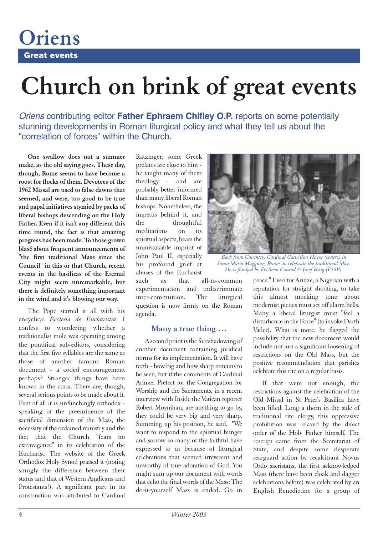**Great events**

**Oriens**

## **Church on brink of great events**

*Oriens* contributing editor **Father Ephraem Chifley O.P.** reports on some potentially stunning developments in Roman liturgical policy and what they tell us about the "correlation of forces" within the Church.

**One swallow does not a summer make, as the old saying goes. These day, though, Rome seems to have become a roost for flocks of them. Devotees of the 1962 Missal are used to false dawns that seemed, and were, too good to be true and papal initiatives stymied by packs of liberal bishops descending on the Holy Father. Even if it isn't any different this time round, the fact is that amazing progress has been made. To those grown blasé about frequent announcements of "the first traditional Mass since the Council" in this or that Church, recent events in the basilicas of the Eternal City might seem unremarkable, but there is definitely something important in the wind and it's blowing our way.**

The Pope started it all with his encyclical *Ecclesia de Eucharistia*. I confess to wondering whether a traditionalist mole was operating among the pontifical sub-editors, considering that the first five syllables are the same as those of another famous Roman document - a coded encouragement perhaps? Stranger things have been known in the curia. There are, though, several serious points to be made about it. First of all it is unflinchingly orthodox speaking of the preeminence of the sacrificial dimension of the Mass, the necessity of the ordained ministry and the fact that the Church "fears no extravagance" in its celebration of the Eucharist. The website of the Greek Orthodox Holy Synod praised it (noting smugly the difference between their status and that of Western Anglicans and Protestants!). A significant part in its construction was attributed to Cardinal

Ratzinger; some Greek prelates are close to him he taught many of them theology - and are probably better informed than many liberal Roman bishops. Nonetheless, the impetus behind it, and the thoughtful meditations on its spiritual aspects, bears the unmistakable imprint of John Paul II, especially his profound grief at abuses of the Eucharist

such as that all-to-common experimentation and indiscriminate inter-communion. The liturgical question is now firmly on the Roman agenda.

#### **Many a true thing …**

A second point is the foreshadowing of another document containing juridical norms for its implementation. It will have teeth - how big and how sharp remains to be seen, but if the comments of Cardinal Arinze, Prefect for the Congregation for Worship and the Sacraments, in a recent interview with Inside the Vatican reporter Robert Moynihan, are anything to go by, they could be very big and very sharp. Summing up his position, he said, "We want to respond to the spiritual hunger and sorrow so many of the faithful have expressed to us because of liturgical celebrations that seemed irreverent and unworthy of true adoration of God. You might sum up our document with words that echo the final words of the Mass: The do-it-yourself Mass is ended. Go in



*Back from Coventry: Cardinal Castrillon Hoyos (centre) in Santa Maria Maggiore, Rome, to celebrate the traditional Mass. He is flanked by Frs Sven Conrad & Josef Bisig (FSSP).*

peace." Even for Arinze, a Nigerian with a reputation for straight shooting, to take this almost mocking tone about modernist pieties must set off alarm bells. Many a liberal liturgist must "feel a disturbance in the Force" (to invoke Darth Vader). What is more, he flagged the possibility that the new document would include not just a significant loosening of restrictions on the Old Mass, but the positive recommendation that parishes celebrate this rite on a regular basis.

If that were not enough, the restrictions against the celebration of the Old Missal in St Peter's Basilica have been lifted. Long a thorn in the side of traditional rite clergy, this oppressive prohibition was relaxed by the direct order of the Holy Father himself. The rescript came from the Secretariat of State, and despite some desperate rearguard action by recalcitrant Novus Ordo sacristans, the first acknowledged Mass (there have been cloak and dagger celebrations before) was celebrated by an English Benedictine for a group of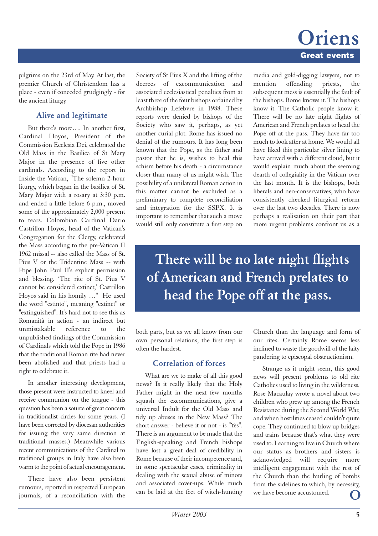### **Great events Oriens**

pilgrims on the 23rd of May. At last, the premier Church of Christendom has a place - even if conceded grudgingly - for the ancient liturgy.

#### **Alive and legitimate**

But there's more…. In another first, Cardinal Hoyos, President of the Commission Ecclesia Dei, celebrated the Old Mass in the Basilica of St Mary Major in the presence of five other cardinals. According to the report in Inside the Vatican, "The solemn 2-hour liturgy, which began in the basilica of St. Mary Major with a rosary at 3:30 p.m. and ended a little before 6 p.m., moved some of the approximately 2,000 present to tears. Colombian Cardinal Dario Castrillon Hoyos, head of the Vatican's Congregation for the Clergy, celebrated the Mass according to the pre-Vatican II 1962 missal -- also called the Mass of St. Pius V or the Tridentine Mass -- with Pope John Paul II's explicit permission and blessing. 'The rite of St. Pius V cannot be considered extinct,' Castrillon Hoyos said in his homily …" He used the word "estinto", meaning "extinct" or "extinguished". It's hard not to see this as Romanità in action - an indirect but unmistakable reference to the unpublished findings of the Commission of Cardinals which told the Pope in 1986 that the traditional Roman rite had never been abolished and that priests had a right to celebrate it.

In another interesting development, those present were instructed to kneel and receive communion on the tongue - this question has been a source of great concern in traditionalist circles for some years. (I have been corrected by diocesan authorities for issuing the very same direction at traditional masses.) Meanwhile various recent communications of the Cardinal to traditional groups in Italy have also been warm to the point of actual encouragement.

There have also been persistent rumours, reported in respected European journals, of a reconciliation with the

Society of St Pius X and the lifting of the decrees of excommunication and associated ecclesiastical penalties from at least three of the four bishops ordained by Archbishop Lefebvre in 1988. These reports were denied by bishops of the Society who saw it, perhaps, as yet another curial plot. Rome has issued no denial of the rumours. It has long been known that the Pope, as the father and pastor that he is, wishes to heal this schism before his death - a circumstance closer than many of us might wish. The possibility of a unilateral Roman action in this matter cannot be excluded as a preliminary to complete reconciliation and integration for the SSPX. It is important to remember that such a move would still only constitute a first step on

media and gold-digging lawyers, not to mention offending priests, the subsequent mess is essentially the fault of the bishops. Rome knows it. The bishops know it. The Catholic people know it. There will be no late night flights of American and French prelates to head the Pope off at the pass. They have far too much to look after at home. We would all have liked this particular silver lining to have arrived with a different cloud, but it would explain much about the seeming dearth of collegiality in the Vatican over the last month. It is the bishops, both liberals and neo-conservatives, who have consistently checked liturgical reform over the last two decades. There is now perhaps a realisation on their part that more urgent problems confront us as a

**There will be no late night flights of American and French prelates to head the Pope off at the pass.**

both parts, but as we all know from our own personal relations, the first step is often the hardest.

#### **Correlation of forces**

What are we to make of all this good news? Is it really likely that the Holy Father might in the next few months squash the excommunications, give a universal Indult for the Old Mass and tidy up abuses in the New Mass? The short answer - believe it or not - is "Yes". There is an argument to be made that the English-speaking and French bishops have lost a great deal of credibility in Rome because of their incompetence and, in some spectacular cases, criminality in dealing with the sexual abuse of minors and associated cover-ups. While much can be laid at the feet of witch-hunting

Church than the language and form of our rites. Certainly Rome seems less inclined to waste the goodwill of the laity pandering to episcopal obstructionism.

Strange as it might seem, this good news will present problems to old rite Catholics used to living in the wilderness. Rose Macaulay wrote a novel about two children who grew up among the French Resistance during the Second World War, and when hostilities ceased couldn't quite cope. They continued to blow up bridges and trains because that's what they were used to. Learning to live in Church where our status as brothers and sisters is acknowledged will require more intelligent engagement with the rest of the Church than the hurling of bombs from the sidelines to which, by necessity, we have become accustomed.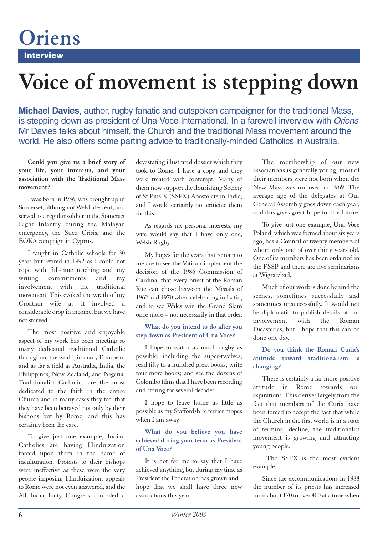**Interview**

**Oriens**

## **Voice of movement is stepping down**

**Michael Davies**, author, rugby fanatic and outspoken campaigner for the traditional Mass, is stepping down as president of Una Voce International. In a farewell inverview with *Oriens* Mr Davies talks about himself, the Church and the traditional Mass movement around the world. He also offers some parting advice to traditionally-minded Catholics in Australia.

**Could you give us a brief story of your life, your interests, and your association with the Traditional Mass movement?** 

I was born in 1936, was brought up in Somerset, although of Welsh descent, and served as a regular soldier in the Somerset Light Infantry during the Malayan emergency, the Suez Crisis, and the EOKA campaign in Cyprus.

I taught in Catholic schools for 30 years but retired in 1992 as I could not cope with full-time teaching and my writing commitments and my involvement with the traditional movement. This evoked the wrath of my Croatian wife as it involved a considerable drop in income, but we have not starved.

The most positive and enjoyable aspect of my work has been meeting so many dedicated traditional Catholic throughout the world, in many European and as far a field as Australia, India, the Philippines, New Zealand, and Nigeria. Traditionalist Catholics are the most dedicated to the faith in the entire Church and in many cases they feel that they have been betrayed not only by their bishops but by Rome, and this has certainly been the case.

To give just one example, Indian Catholics are having Hinduization forced upon them in the name of inculturation. Protests to their bishops were ineffective as these were the very people imposing Hinduization, appeals to Rome were not even answered, and the All India Laity Congress compiled a

devastating illustrated dossier which they took to Rome, I have a copy, and they were treated with contempt. Many of them now support the flourishing Society of St Pius X (SSPX) Apostolate in India, and I would certainly not criticize them for this.

As regards my personal interests, my wife would say that I have only one, Welsh Rugby.

My hopes for the years that remain to me are to see the Vatican implement the decision of the 1986 Commission of Cardinal that every priest of the Roman Rite can chose between the Missals of 1962 and 1970 when celebrating in Latin, and to see Wales win the Grand Slam once more – not necessarily in that order.

#### **What do you intend to do after you step down as President of Una Voce?**

I hope to watch as much rugby as possible, including the super-twelves; read fifty to a hundred great books; write four more books; and see the dozens of Colombo films that I have been recording and storing for several decades.

I hope to leave home as little as possible as my Staffordshire terrier mopes when I am away.

#### **What do you believe you have achieved during your term as President of Una Voce?**

It is not for me to say that I have achieved anything, but during my time as President the Federation has grown and I hope that we shall have three new associations this year.

The membership of our new associations is generally young, most of their members were not born when the New Mass was imposed in 1969. The average age of the delegates at Our General Assembly goes down each year, and this gives great hope for the future.

To give just one example, Una Voce Poland, which was formed about six years ago, has a Council of twenty members of whom only one of over thirty years old. One of its members has been ordained in the FSSP and there are five seminarians at Wigratzbad.

Much of our work is done behind the scenes, sometimes successfully and sometimes unsuccessfully. It would not be diplomatic to publish details of our involvement with the Roman Dicasteries, but I hope that this can be done one day.

#### **Do you think the Roman Curia's attitude toward traditionalism is changing?**

There is certainly a far more positive attitude in Rome towards our aspirations. This derives largely from the fact that members of the Curia have been forced to accept the fact that while the Church in the first world is in a state of terminal decline, the traditionalist movement is growing and attracting young people.

The SSPX is the most evident example.

Since the excommunications in 1988 the number of its priests has increased from about 170 to over 400 at a time when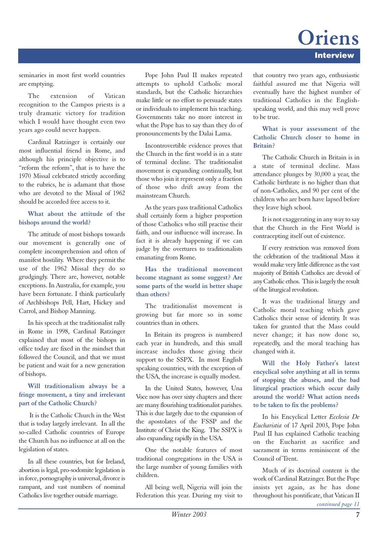### **Interview Oriens**

seminaries in most first world countries are emptying.

The extension of Vatican recognition to the Campos priests is a truly dramatic victory for tradition which I would have thought even two years ago could never happen.

Cardinal Ratzinger is certainly our most influential friend in Rome, and although his principle objective is to "reform the reform", that is to have the 1970 Missal celebrated strictly according to the rubrics, he is adamant that those who are devoted to the Missal of 1962 should be accorded free access to it.

#### **What about the attitude of the bishops around the world?**

The attitude of most bishops towards our movement is generally one of complete incomprehension and often of manifest hostility. Where they permit the use of the 1962 Missal they do so grudgingly. There are, however, notable exceptions. In Australia, for example, you have been fortunate. I think particularly of Archbishops Pell, Hart, Hickey and Carrol, and Bishop Manning.

In his speech at the traditionalist rally in Rome in 1998, Cardinal Ratzinger explained that most of the bishops in office today are fixed in the mindset that followed the Council, and that we must be patient and wait for a new generation of bishops.

#### **Will traditionalism always be a fringe movement, a tiny and irrelevant part of the Catholic Church?**

It is the Catholic Church in the West that is today largely irrelevant. In all the so-called Catholic countries of Europe the Church has no influence at all on the legislation of states.

In all these countries, but for Ireland, abortion is legal, pro-sodomite legislation is in force, pornography is universal, divorce is rampant, and vast numbers of nominal Catholics live together outside marriage.

Pope John Paul II makes repeated attempts to uphold Catholic moral standards, but the Catholic hierarchies make little or no effort to persuade states or individuals to implement his teaching. Governments take no more interest in what the Pope has to say than they do of pronouncements by the Dalai Lama.

Incontrovertible evidence proves that the Church in the first world is in a state of terminal decline. The traditionalist movement is expanding continually, but those who join it represent only a fraction of those who drift away from the mainstream Church.

As the years pass traditional Catholics shall certainly form a higher proportion of those Catholics who still practise their faith, and our influence will increase. In fact it is already happening if we can judge by the overtures to traditionalists emanating from Rome.

#### **Has the traditional movement become stagnant as some suggest? Are some parts of the world in better shape than others?**

The traditionalist movement is growing but far more so in some countries than in others.

In Britain its progress is numbered each year in hundreds, and this small increase includes those giving their support to the SSPX. In most English speaking countries, with the exception of the USA, the increase is equally modest.

In the United States, however, Una Voce now has over sixty chapters and there are many flourishing traditionalist parishes. This is due largely due to the expansion of the apostolates of the FSSP and the Institute of Christ the King. The SSPX is also expanding rapidly in the USA.

One the notable features of most traditional congregations in the USA is the large number of young families with children.

All being well, Nigeria will join the Federation this year. During my visit to that country two years ago, enthusiastic faithful assured me that Nigeria will eventually have the highest number of traditional Catholics in the Englishspeaking world, and this may well prove to be true.

#### **What is your assessment of the Catholic Church closer to home in Britain?**

The Catholic Church in Britain is in a state of terminal decline. Mass attendance plunges by 30,000 a year, the Catholic birthrate is no higher than that of non-Catholics, and 90 per cent of the children who are born have lapsed before they leave high school.

It is not exaggerating in any way to say that the Church in the First World is contracepting itself out of existence.

If every restriction was removed from the celebration of the traditional Mass it would make very little difference as the vast majority of British Catholics are devoid of any Catholic ethos. This is largely the result of the liturgical revolution.

It was the traditional liturgy and Catholic moral teaching which gave Catholics their sense of identity. It was taken for granted that the Mass could never change; it has now done so, repeatedly, and the moral teaching has changed with it.

**Will the Holy Father's latest encyclical solve anything at all in terms of stopping the abuses, and the bad liturgical practices which occur daily around the world? What action needs to be taken to fix the problems?** 

In his Encyclical Letter *Ecclesia De Eucharistia* of 17 April 2003, Pope John Paul II has explained Catholic teaching on the Eucharist as sacrifice and sacrament in terms reminiscent of the Council of Trent.

Much of its doctrinal content is the work of Cardinal Ratzinger. But the Pope insists yet again, as he has done throughout his pontificate, that Vatican II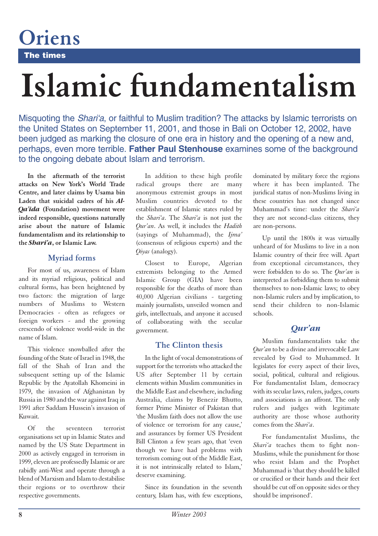**The times**

**Oriens**

# **Islamic fundamentalism**

Misquoting the *Shari'a*, or faithful to Muslim tradition? The attacks by Islamic terrorists on the United States on September 11, 2001, and those in Bali on October 12, 2002, have been judged as marking the closure of one era in history and the opening of a new and, perhaps, even more terrible. **Father Paul Stenhouse** examines some of the background to the ongoing debate about Islam and terrorism.

**In the aftermath of the terrorist attacks on New York's World Trade Centre, and later claims by Usama bin Laden that suicidal cadres of his** *Al-Qa'ida* **(Foundation) movement were indeed responsible, questions naturally arise about the nature of Islamic fundamentalism and its relationship to the** *Shari'a***, or Islamic Law.**

#### **Myriad forms**

For most of us, awareness of Islam and its myriad religious, political and cultural forms, has been heightened by two factors: the migration of large numbers of Muslims to Western Democracies - often as refugees or foreign workers - and the growing crescendo of violence world-wide in the name of Islam.

This violence snowballed after the founding of the State of Israel in 1948, the fall of the Shah of Iran and the subsequent setting up of the Islamic Republic by the Ayatollah Khomeini in 1979, the invasion of Afghanistan by Russia in 1980 and the war against Iraq in 1991 after Saddam Hussein's invasion of Kuwait.

Of the seventeen terrorist organisations set up in Islamic States and named by the US State Department in 2000 as actively engaged in terrorism in 1999, eleven are professedly Islamic or are rabidly anti-West and operate through a blend of Marxism and Islam to destabilise their regions or to overthrow their respective governments.

In addition to these high profile radical groups there are many anonymous extremist groups in most Muslim countries devoted to the establishment of Islamic states ruled by the *Shari'a*. The *Shari'a* is not just the *Qur'an*. As well, it includes the *Hadith* (sayings of Muhammad), the *Ijma'* (consensus of religious experts) and the *Qiyas* (analogy).

Closest to Europe, Algerian extremists belonging to the Armed Islamic Group (GIA) have been responsible for the deaths of more than 40,000 Algerian civilians - targeting mainly journalists, unveiled women and girls, intellectuals, and anyone it accused of collaborating with the secular government.

#### **The Clinton thesis**

In the light of vocal demonstrations of support for the terrorists who attacked the US after September 11 by certain elements within Muslim communities in the Middle East and elsewhere, including Australia, claims by Benezir Bhutto, former Prime Minister of Pakistan that 'the Muslim faith does not allow the use of violence or terrorism for any cause,' and assurances by former US President Bill Clinton a few years ago, that 'even though we have had problems with terrorism coming out of the Middle East, it is not intrinsically related to Islam,' deserve examining.

Since its foundation in the seventh century, Islam has, with few exceptions, dominated by military force the regions where it has been implanted. The juridical status of non-Muslims living in these countries has not changed since Muhammad's time: under the *Shari'a* they are not second-class citizens, they are non-persons.

Up until the 1800s it was virtually unheard of for Muslims to live in a non Islamic country of their free will. Apart from exceptional circumstances, they were forbidden to do so. The *Qur'an* is interpreted as forbidding them to submit themselves to non-Islamic laws; to obey non-Islamic rulers and by implication, to send their children to non-Islamic schools.

#### *Qur'an*

Muslim fundamentalists take the *Qur'an* to be a divine and irrevocable Law revealed by God to Muhammed. It legislates for every aspect of their lives, social, political, cultural and religious. For fundamentalist Islam, democracy with its secular laws, rulers, judges, courts and associations is an affront. The only rulers and judges with legitimate authority are those whose authority comes from the *Shari'a*.

For fundamentalist Muslims, the *Shari'a* teaches them to fight non-Muslims, while the punishment for those who resist Islam and the Prophet Muhammad is 'that they should be killed or crucified or their hands and their feet should be cut off on opposite sides or they should be imprisoned'.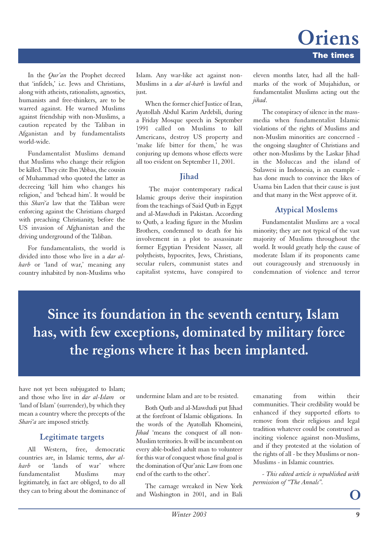In the *Qur'an* the Prophet decreed that 'infidels,' i.e. Jews and Christians, along with atheists, rationalists, agnostics, humanists and free-thinkers, are to be warred against. He warned Muslims against friendship with non-Muslims, a caution repeated by the Taliban in Afganistan and by fundamentalists world-wide.

Fundamentalist Muslims demand that Muslims who change their religion be killed. They cite Ibn 'Abbas, the cousin of Muhammad who quoted the latter as decreeing 'kill him who changes his religion,' and 'behead him'. It would be this *Shari'a* law that the Taliban were enforcing against the Christians charged with preaching Christianity, before the US invasion of Afghanistan and the driving underground of the Taliban.

For fundamentalists, the world is divided into those who live in a *dar alharb* or 'land of war,' meaning any country inhabited by non-Muslims who Islam. Any war-like act against non-Muslims in a *dar al-harb* is lawful and just.

When the former chief Justice of Iran. Ayatollah Abdul Karim Ardebili, during a Friday Mosque speech in September 1991 called on Muslims to kill Americans, destroy US property and 'make life bitter for them,' he was conjuring up demons whose effects were all too evident on September 11, 2001.

#### **Jihad**

The major contemporary radical Islamic groups derive their inspiration from the teachings of Said Qutb in Egypt and al-Mawdudi in Pakistan. According to Qutb, a leading figure in the Muslim Brothers, condemned to death for his involvement in a plot to assassinate former Egyptian President Nasser, all polytheists, hypocrites, Jews, Christians, secular rulers, communist states and capitalist systems, have conspired to

eleven months later, had all the hallmarks of the work of Mujahidun, or fundamentalist Muslims acting out the *jihad*.

The conspiracy of silence in the massmedia when fundamentalist Islamic violations of the rights of Muslims and non-Muslim minorities are concerned the ongoing slaughter of Christians and other non-Muslims by the Laskar Jihad in the Moluccas and the island of Sulawesi in Indonesia, is an example has done much to convince the likes of Usama bin Laden that their cause is just and that many in the West approve of it.

#### **Atypical Moslems**

Fundamentalist Muslims are a vocal minority; they are not typical of the vast majority of Muslims throughout the world. It would greatly help the cause of moderate Islam if its proponents came out courageously and strenuously in condemnation of violence and terror

**Since its foundation in the seventh century, Islam has, with few exceptions, dominated by military force the regions where it has been implanted.**

have not yet been subjugated to Islam; and those who live in *dar al-Islam* or 'land of Islam' (surrender), by which they mean a country where the precepts of the *Shari'a* are imposed strictly.

#### **Legitimate targets**

All Western, free, democratic countries are, in Islamic terms, *dur al*or 'lands of war' fundamentalist Muslims may legitimately, in fact are obliged, to do all they can to bring about the dominance of undermine Islam and are to be resisted.

Both Qutb and al-Mawdudi put Jihad at the forefront of Islamic obligations. In the words of the Ayatollah Khomeini, *Jihad* 'means the conquest of all non-Muslim territories. It will be incumbent on every able-bodied adult man to volunteer for this war of conquest whose final goal is the domination of Qur'anic Law from one end of the earth to the other'.

The carnage wreaked in New York and Washington in 2001, and in Bali emanating from within their communities. Their credibility would be enhanced if they supported efforts to remove from their religious and legal tradition whatever could be construed as inciting violence against non-Muslims, and if they protested at the violation of the rights of all - be they Muslims or non-Muslims - in Islamic countries.

*- This edited article is republished with permission of "The Annals".*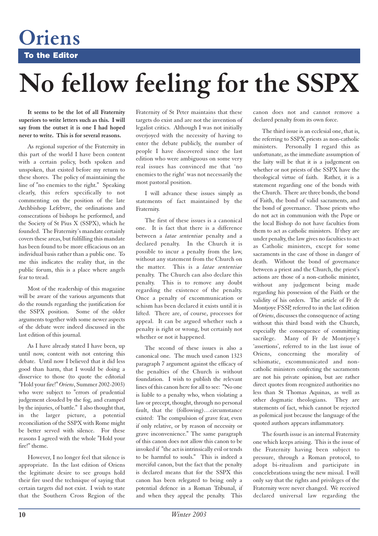**To the Editor**

**Oriens**

## **No fellow feeling for the SSPX**

**It seems to be the lot of all Fraternity superiors to write letters such as this. I will say from the outset it is one I had hoped never to write. This is for several reasons.** 

As regional superior of the Fraternity in this part of the world I have been content with a certain policy, both spoken and unspoken, that existed before my return to these shores. The policy of maintaining the line of "no enemies to the right." Speaking clearly, this refers specifically to not commenting on the position of the late Archbishop Lefebvre, the ordinations and consecrations of bishops he performed, and the Society of St Pius X (SSPX), which he founded. The Fraternity's mandate certainly covers these areas, but fulfilling this mandate has been found to be more efficacious on an individual basis rather than a public one. To me this indicates the reality that, in the public forum, this is a place where angels fear to tread.

Most of the readership of this magazine will be aware of the various arguments that do the rounds regarding the justification for the SSPX position. Some of the older arguments together with some newer aspects of the debate were indeed discussed in the last edition of this journal.

As I have already stated I have been, up until now, content with not entering this debate. Until now I believed that it did less good than harm, that I would be doing a disservice to those (to quote the editorial "Hold your fire!" *Oriens*, Summer 2002-2003) who were subject to "errors of prudential judgement clouded by the fog, and cramped by the injuries, of battle." I also thought that, in the larger picture, a potential reconciliation of the SSPX with Rome might be better served with silence. For these reasons I agreed with the whole "Hold your fire!" theme.

However, I no longer feel that silence is appropriate. In the last edition of Oriens the legitimate desire to see groups hold their fire used the technique of saying that certain targets did not exist. I wish to state that the Southern Cross Region of the Fraternity of St Peter maintains that these targets do exist and are not the invention of legalist critics. Although I was not initially overjoyed with the necessity of having to enter the debate publicly, the number of people I have discovered since the last edition who were ambiguous on some very real issues has convinced me that 'no enemies to the right' was not necessarily the most pastoral position.

I will advance these issues simply as statements of fact maintained by the Fraternity.

The first of these issues is a canonical one. It is fact that there is a difference between a *latae sententiae* penalty and a declared penalty. In the Church it is possible to incur a penalty from the law, without any statement from the Church on the matter. This is a *latae sententiae* penalty. The Church can also declare this penalty. This is to remove any doubt regarding the existence of the penalty. Once a penalty of excommunication or schism has been declared it exists until it is lifted. There are, of course, processes for appeal. It can be argued whether such a penalty is right or wrong, but certainly not whether or not it happened.

The second of these issues is also a canonical one. The much used canon 1323 paragraph 7 argument against the efficacy of the penalties of the Church is without foundation. I wish to publish the relevant lines of this canon here for all to see: "No one is liable to a penalty who, when violating a law or precept, thought, through no personal fault, that the (following)…circumstance existed: The compulsion of grave fear, even if only relative, or by reason of necessity or grave inconvenience." The same paragraph of this canon does not allow this canon to be invoked if "the act is intrinsically evil or tends to be harmful to souls." This is indeed a merciful canon, but the fact that the penalty is declared means that for the SSPX this canon has been relegated to being only a potential defence in a Roman Tribunal, if and when they appeal the penalty. This canon does not and cannot remove a declared penalty from its own force.

The third issue is an ecclesial one, that is, the referring to SSPX priests as non-catholic ministers. Personally I regard this as unfortunate, as the immediate assumption of the laity will be that it is a judgement on whether or not priests of the SSPX have the theological virtue of faith. Rather, it is a statement regarding one of the bonds with the Church. There are three bonds, the bond of Faith, the bond of valid sacraments, and the bond of governance. Those priests who do not act in communion with the Pope or the local Bishop do not have faculties from them to act as catholic ministers. If they are under penalty, the law gives no faculties to act as Catholic ministers, except for some sacraments in the case of those in danger of death. Without the bond of governance between a priest and the Church, the priest's actions are those of a non-catholic minister, without any judgement being made regarding his possession of the Faith or the validity of his orders. The article of Fr de Montjoye FSSP, referred to in the last edition of *Oriens*, discusses the consequence of acting without this third bond with the Church, especially the consequence of committing sacrilege. Many of Fr de Montjoye's 'assertions', referred to in the last issue of Oriens, concerning the morality of schismatic, excommunicated and noncatholic ministers confecting the sacraments are not his private opinion, but are rather direct quotes from recognized authorities no less than St Thomas Aquinas, as well as other dogmatic theologians. They are statements of fact, which cannot be rejected as polemical just because the language of the quoted authors appears inflammatory.

The fourth issue is an internal Fraternity one which keeps arising. This is the issue of the Fraternity having been subject to pressure, through a Roman protocol, to adopt bi-ritualism and participate in concelebrations using the new missal. I will only say that the rights and privileges of the Fraternity were never changed. We received declared universal law regarding the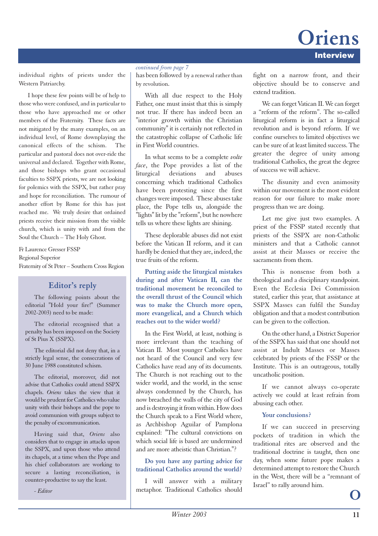### **Interview Oriens**

individual rights of priests under the Western Patriarchy.

I hope these few points will be of help to those who were confused, and in particular to those who have approached me or other members of the Fraternity. These facts are not mitigated by the many examples, on an individual level, of Rome downplaying the canonical effects of the schism. The particular and pastoral does not over-ride the universal and declared. Together with Rome, and those bishops who grant occasional faculties to SSPX priests, we are not looking for polemics with the SSPX, but rather pray and hope for reconciliation. The rumour of another effort by Rome for this has just reached me. We truly desire that ordained priests receive their mission from the visible church, which is unity with and from the Soul the Church – The Holy Ghost.

Fr Laurence Gresser FSSP Regional Superior Fraternity of St Peter – Southern Cross Region

#### **Editor's reply**

The following points about the editorial "Hold your fire!" (Summer 2002-2003) need to be made:

The editorial recognised that a penalty has been imposed on the Society of St Pius X (SSPX).

The editorial did not deny that, in a strictly legal sense, the consecrations of 30 June 1988 constituted schism.

The editorial, moreover, did not advise that Catholics could attend SSPX chapels. *Oriens* takes the view that it would be prudent for Catholics who value unity with their bishops and the pope to avoid communion with groups subject to the penalty of excommunication.

Having said that, *Oriens* also considers that to engage in attacks upon the SSPX, and upon those who attend its chapels, at a time when the Pope and his chief collaborators are working to secure a lasting reconciliation, is counter-productive to say the least.

*- Editor*

#### *continued from page 7*

has been followed by a renewal rather than by revolution.

With all due respect to the Holy Father, one must insist that this is simply not true. If there has indeed been an "interior growth within the Christian community" it is certainly not reflected in the catastrophic collapse of Catholic life in First World countries.

In what seems to be a complete *volte face*, the Pope provides a list of the liturgical deviations and abuses concerning which traditional Catholics have been protesting since the first changes were imposed. These abuses take place, the Pope tells us, alongside the "lights" lit by the "reform", but he nowhere tells us where these lights are shining.

These deplorable abuses did not exist before the Vatican II reform, and it can hardly be denied that they are, indeed, the true fruits of the reform.

**Putting aside the liturgical mistakes during and after Vatican II, can the traditional movement be reconciled to the overall thrust of the Council which was to make the Church more open, more evangelical, and a Church which reaches out to the wider world?** 

In the First World, at least, nothing is more irrelevant than the teaching of Vatican II. Most younger Catholics have not heard of the Council and very few Catholics have read any of its documents. The Church is not reaching out to the wider world, and the world, in the sense always condemned by the Church, has now breached the walls of the city of God and is destroying it from within. How does the Church speak to a First World where, as Archbishop Aguilar of Pamplona explained: "The cultural convictions on which social life is based are undermined and are more atheistic than Christian."?

#### **Do you have any parting advice for traditional Catholics around the world?**

I will answer with a military metaphor. Traditional Catholics should fight on a narrow front, and their objective should be to conserve and extend tradition.

We can forget Vatican II. We can forget a "reform of the reform". The so-called liturgical reform is in fact a liturgical revolution and is beyond reform. If we confine ourselves to limited objectives we can be sure of at least limited success. The greater the degree of unity among traditional Catholics, the great the degree of success we will achieve.

The disunity and even animosity within our movement is the most evident reason for our failure to make more progress than we are doing.

Let me give just two examples. A priest of the FSSP stated recently that priests of the SSPX are non-Catholic ministers and that a Catholic cannot assist at their Masses or receive the sacraments from them.

This is nonsense from both a theological and a disciplinary standpoint. Even the Ecclesia Dei Commission stated, earlier this year, that assistance at SSPX Masses can fulfil the Sunday obligation and that a modest contribution can be given to the collection.

On the other hand, a District Superior of the SSPX has said that one should not assist at Indult Masses or Masses celebrated by priests of the FSSP or the Institute. This is an outrageous, totally uncatholic position.

If we cannot always co-operate actively we could at least refrain from abusing each other.

#### **Your conclusions?**

If we can succeed in preserving pockets of tradition in which the traditional rites are observed and the traditional doctrine is taught, then one day, when some future pope makes a determined attempt to restore the Church in the West, there will be a "remnant of Israel" to rally around him.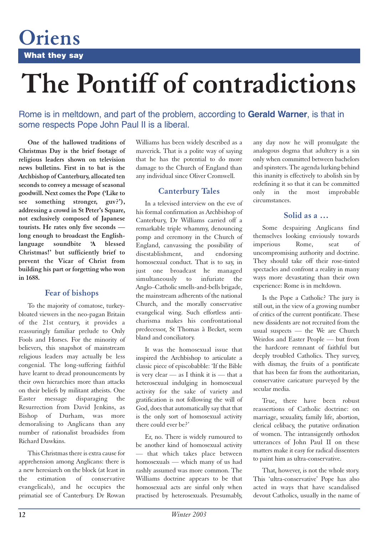**What they say**

**Oriens**

## **The Pontiff of contradictions**

Rome is in meltdown, and part of the problem, according to **Gerald Warner**, is that in some respects Pope John Paul II is a liberal.

**One of the hallowed traditions of Christmas Day is the brief footage of religious leaders shown on television news bulletins. First in to bat is the Archbishop of Canterbury, allocated ten seconds to convey a message of seasonal goodwill. Next comes the Pope ('Like to see something stronger, guv?'), addressing a crowd in St Peter's Square, not exclusively composed of Japanese tourists. He rates only five seconds long enough to broadcast the Englishlanguage soundbite 'A blessed Christmas!' but sufficiently brief to prevent the Vicar of Christ from building his part or forgetting who won in 1688.** 

#### **Fear of bishops**

To the majority of comatose, turkeybloated viewers in the neo-pagan Britain of the 21st century, it provides a reassuringly familiar prelude to Only Fools and Horses. For the minority of believers, this snapshot of mainstream religious leaders may actually be less congenial. The long-suffering faithful have learnt to dread pronouncements by their own hierarchies more than attacks on their beliefs by militant atheists. One Easter message disparaging the Resurrection from David Jenkins, as Bishop of Durham, was more demoralising to Anglicans than any number of rationalist broadsides from Richard Dawkins.

This Christmas there is extra cause for apprehension among Anglicans: there is a new heresiarch on the block (at least in the estimation of conservative evangelicals), and he occupies the primatial see of Canterbury. Dr Rowan

Williams has been widely described as a maverick. That is a polite way of saying that he has the potential to do more damage to the Church of England than any individual since Oliver Cromwell.

#### **Canterbury Tales**

In a televised interview on the eve of his formal confirmation as Archbishop of Canterbury, Dr Williams carried off a remarkable triple whammy, denouncing pomp and ceremony in the Church of England, canvassing the possibility of disestablishment, and endorsing homosexual conduct. That is to say, in just one broadcast he managed simultaneously to infuriate the Anglo–Catholic smells-and-bells brigade, the mainstream adherents of the national Church, and the morally conservative evangelical wing. Such effortless anticharisma makes his confrontational predecessor, St Thomas à Becket, seem bland and conciliatory.

It was the homosexual issue that inspired the Archbishop to articulate a classic piece of episcobabble: 'If the Bible is very clear  $\frac{1}{\sqrt{2}}$  as I think it is  $\frac{1}{\sqrt{2}}$  that a heterosexual indulging in homosexual activity for the sake of variety and gratification is not following the will of God, does that automatically say that that is the only sort of homosexual activity there could ever be?'

Er, no. There is widely rumoured to be another kind of homosexual activity — that which takes place between homosexuals — which many of us had rashly assumed was more common. The Williams doctrine appears to be that homosexual acts are sinful only when practised by heterosexuals. Presumably,

any day now he will promulgate the analogous dogma that adultery is a sin only when committed between bachelors and spinsters. The agenda lurking behind this inanity is effectively to abolish sin by redefining it so that it can be committed only in the most improbable circumstances.

#### **Solid as a …**

Some despairing Anglicans find themselves looking enviously towards imperious Rome, seat of uncompromising authority and doctrine. They should take off their rose-tinted spectacles and confront a reality in many ways more devastating than their own experience: Rome is in meltdown.

Is the Pope a Catholic? The jury is still out, in the view of a growing number of critics of the current pontificate. These new dissidents are not recruited from the usual suspects — the We are Church Weirdos and Easter People — but from the hardcore remnant of faithful but deeply troubled Catholics. They survey, with dismay, the fruits of a pontificate that has been far from the authoritarian, conservative caricature purveyed by the secular media.

True, there have been robust reassertions of Catholic doctrine: on marriage, sexuality, family life, abortion, clerical celibacy, the putative ordination of women. The intransigently orthodox utterances of John Paul II on these matters make it easy for radical dissenters to paint him as ultra-conservative.

That, however, is not the whole story. This 'ultra-conservative' Pope has also acted in ways that have scandalised devout Catholics, usually in the name of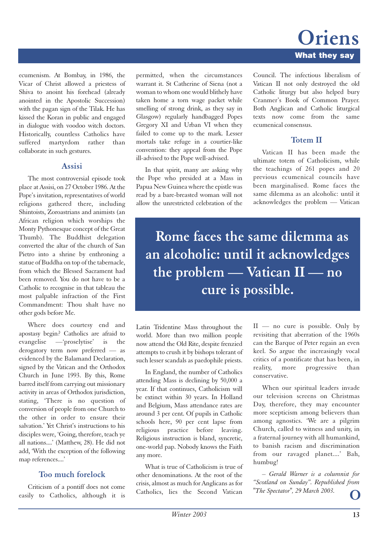ecumenism. At Bombay, in 1986, the Vicar of Christ allowed a priestess of Shiva to anoint his forehead (already anointed in the Apostolic Succession) with the pagan sign of the Tilak. He has kissed the Koran in public and engaged in dialogue with voodoo witch doctors. Historically, countless Catholics have suffered martyrdom rather than collaborate in such gestures.

#### **Assisi**

The most controversial episode took place at Assisi, on 27 October 1986. At the Pope's invitation, representatives of world religions gathered there, including Shintoists, Zoroastrians and animists (an African religion which worships the Monty Pythonesque concept of the Great Thumb). The Buddhist delegation converted the altar of the church of San Pietro into a shrine by enthroning a statue of Buddha on top of the tabernacle, from which the Blessed Sacrament had been removed. You do not have to be a Catholic to recognise in that tableau the most palpable infraction of the First Commandment: Thou shalt have no other gods before Me.

Where does courtesy end and apostasy begin? Catholics are afraid to evangelise —'proselytise' is the derogatory term now preferred — as evidenced by the Balamand Declaration, signed by the Vatican and the Orthodox Church in June 1993. By this, Rome barred itself from carrying out missionary activity in areas of Orthodox jurisdiction, stating, 'There is no question of conversion of people from one Church to the other in order to ensure their salvation.' Yet Christ's instructions to his disciples were, 'Going, therefore, teach ye all nations....' (Matthew, 28). He did not add, 'With the exception of the following map references....'

#### **Too much forelock**

Criticism of a pontiff does not come easily to Catholics, although it is permitted, when the circumstances warrant it. St Catherine of Siena (not a woman to whom one would blithely have taken home a torn wage packet while smelling of strong drink, as they say in Glasgow) regularly handbagged Popes Gregory XI and Urban VI when they failed to come up to the mark. Lesser mortals take refuge in a courtier-like convention: they appeal from the Pope ill-advised to the Pope well-advised.

In that spirit, many are asking why the Pope who presided at a Mass in Papua New Guinea where the epistle was read by a bare-breasted woman will not allow the unrestricted celebration of the Council. The infectious liberalism of Vatican II not only destroyed the old Catholic liturgy but also helped bury Cranmer's Book of Common Prayer. Both Anglican and Catholic liturgical texts now come from the same ecumenical consensus.

#### **Totem II**

Vatican II has been made the ultimate totem of Catholicism, while the teachings of 261 popes and 20 previous ecumenical councils have been marginalised. Rome faces the same dilemma as an alcoholic: until it acknowledges the problem — Vatican

**Rome faces the same dilemma as an alcoholic: until it acknowledges the problem — Vatican II — no cure is possible.**

Latin Tridentine Mass throughout the world. More than two million people now attend the Old Rite, despite frenzied attempts to crush it by bishops tolerant of such lesser scandals as paedophile priests.

In England, the number of Catholics attending Mass is declining by 50,000 a year. If that continues, Catholicism will be extinct within 30 years. In Holland and Belgium, Mass attendance rates are around 3 per cent. Of pupils in Catholic schools here, 90 per cent lapse from religious practice before leaving. Religious instruction is bland, syncretic, one-world pap. Nobody knows the Faith any more.

What is true of Catholicism is true of other denominations. At the root of the crisis, almost as much for Anglicans as for Catholics, lies the Second Vatican  $II$  — no cure is possible. Only by revisiting that aberration of the 1960s can the Barque of Peter regain an even keel. So argue the increasingly vocal critics of a pontificate that has been, in reality, more progressive than conservative.

When our spiritual leaders invade our television screens on Christmas Day, therefore, they may encounter more scepticism among believers than among agnostics. 'We are a pilgrim Church, called to witness and unity, in a fraternal journey with all humankind, to banish racism and discrimination from our ravaged planet....' Bah, humbug!

*– Gerald Warner is a columnist for "Scotland on Sunday". Republished from "The Spectator", 29 March 2003.*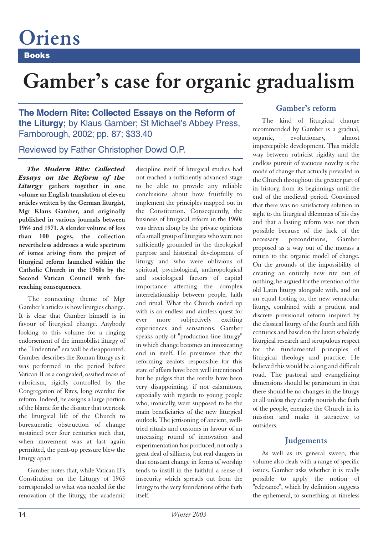### **Books Oriens**

## **Gamber's case for organic gradualism**

**The Modern Rite: Collected Essays on the Reform of the Liturgy;** by Klaus Gamber; St Michael's Abbey Press, Farnborough, 2002; pp. 87; \$33.40

Reviewed by Father Christopher Dowd O.P.

*The Modern Rite: Collected Essays on the Reform of the Liturgy* **gathers together in one volume an English translation of eleven articles written by the German liturgist, Mgr Klaus Gamber, and originally published in various journals between 1964 and 1971. A slender volume of less than 100 pages, the collection nevertheless addresses a wide spectrum of issues arising from the project of liturgical reform launched within the Catholic Church in the 1960s by the Second Vatican Council with farreaching consequences.** 

The connecting theme of Mgr Gamber's articles is how liturgies change. It is clear that Gamber himself is in favour of liturgical change. Anybody looking to this volume for a ringing endorsement of the immobilist liturgy of the "Tridentine" era will be disappointed. Gamber describes the Roman liturgy as it was performed in the period before Vatican II as a congealed, ossified mass of rubricism, rigidly controlled by the Congregation of Rites, long overdue for reform. Indeed, he assigns a large portion of the blame for the disaster that overtook the liturgical life of the Church to bureaucratic obstruction of change sustained over four centuries such that, when movement was at last again permitted, the pent-up pressure blew the liturgy apart.

Gamber notes that, while Vatican II's Constitution on the Liturgy of 1963 corresponded to what was needed for the renovation of the liturgy, the academic

discipline itself of liturgical studies had not reached a sufficiently advanced stage to be able to provide any reliable conclusions about how fruitfully to implement the principles mapped out in the Constitution. Consequently, the business of liturgical reform in the 1960s was driven along by the private opinions of a small group of liturgists who were not sufficiently grounded in the theological purpose and historical development of liturgy and who were oblivious of spiritual, psychological, anthropological and sociological factors of capital importance affecting the complex interrelationship between people, faith and ritual. What the Church ended up with is an endless and aimless quest for ever more subjectively exciting experiences and sensations. Gamber speaks aptly of "production-line liturgy" in which change becomes an intoxicating end in itself. He presumes that the reforming zealots responsible for this state of affairs have been well intentioned but he judges that the results have been very disappointing, if not calamitous, especially with regards to young people who, ironically, were supposed to be the main beneficiaries of the new liturgical outlook. The jettisoning of ancient, welltried rituals and customs in favour of an unceasing round of innovation and experimentation has produced, not only a great deal of silliness, but real dangers in that constant change in forms of worship tends to instill in the faithful a sense of insecurity which spreads out from the liturgy to the very foundations of the faith itself.

#### **Gamber's reform**

The kind of liturgical change recommended by Gamber is a gradual, organic, evolutionary, almost imperceptible development. This middle way between rubricist rigidity and the endless pursuit of vacuous novelty is the mode of change that actually prevailed in the Church throughout the greater part of its history, from its beginnings until the end of the medieval period. Convinced that there was no satisfactory solution in sight to the liturgical dilemmas of his day and that a lasting reform was not then possible because of the lack of the necessary preconditions, Gamber proposed as a way out of the morass a return to the organic model of change. On the grounds of the impossibility of creating an entirely new rite out of nothing, he argued for the retention of the old Latin liturgy alongside with, and on an equal footing to, the new vernacular liturgy, combined with a prudent and discrete provisional reform inspired by the classical liturgy of the fourth and fifth centuries and based on the latest scholarly liturgical research and scrupulous respect for the fundamental principles of liturgical theology and practice. He believed this would be a long and difficult road. The pastoral and evangelizing dimensions should be paramount in that there should be no changes in the liturgy at all unless they clearly nourish the faith of the people, energize the Church in its mission and make it attractive to outsiders.

#### **Judgements**

As well as its general sweep, this volume also deals with a range of specific issues. Gamber asks whether it is really possible to apply the notion of "relevance", which by definition suggests the ephemeral, to something as timeless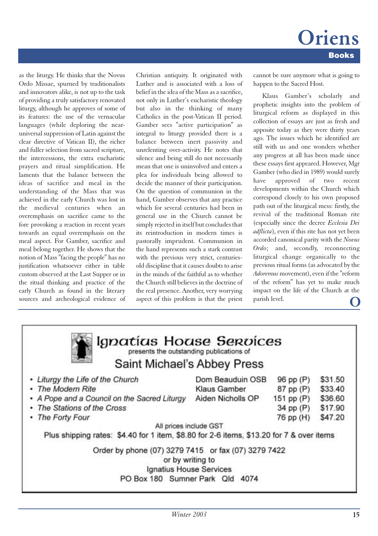*Winter 2003* **15**

as the liturgy. He thinks that the Novus Ordo Missae, spurned by traditionalists and innovators alike, is not up to the task of providing a truly satisfactory renovated liturgy, although he approves of some of its features: the use of the vernacular languages (while deploring the nearuniversal suppression of Latin against the clear directive of Vatican II), the richer and fuller selection from sacred scripture, the intercessions, the extra eucharistic prayers and ritual simplification. He laments that the balance between the ideas of sacrifice and meal in the understanding of the Mass that was achieved in the early Church was lost in the medieval centuries when an overemphasis on sacrifice came to the fore provoking a reaction in recent years towards an equal overemphasis on the meal aspect. For Gamber, sacrifice and meal belong together. He shows that the notion of Mass "facing the people" has no justification whatsoever either in table custom observed at the Last Supper or in the ritual thinking and practice of the early Church as found in the literary sources and archeological evidence of Christian antiquity. It originated with Luther and is associated with a loss of belief in the idea of the Mass as a sacrifice, not only in Luther's eucharistic theology but also in the thinking of many Catholics in the post-Vatican II period. Gamber sees "active participation" as integral to liturgy provided there is a balance between inert passivity and unrelenting over-activity. He notes that silence and being still do not necessarily mean that one is uninvolved and enters a plea for individuals being allowed to decide the manner of their participation. On the question of communion in the hand, Gamber observes that any practice which for several centuries had been in general use in the Church cannot be simply rejected in itself but concludes that its reintroduction in modern times is pastorally imprudent. Communion in the hand represents such a stark contrast with the previous very strict, centuriesold discipline that it causes doubts to arise in the minds of the faithful as to whether the Church still believes in the doctrine of the real presence. Another, very worrying aspect of this problem is that the priest

cannot be sure anymore what is going to happen to the Sacred Host.

Klaus Gamber's scholarly and prophetic insights into the problem of liturgical reform as displayed in this collection of essays are just as fresh and apposite today as they were thirty years ago. The issues which he identified are still with us and one wonders whether any progress at all has been made since these essays first appeared. However, Mgr Gamber (who died in 1989) would surely have approved of two recent developments within the Church which correspond closely to his own proposed path out of the liturgical mess: firstly, the revival of the traditional Roman rite (especially since the decree *Ecclesia Dei adflicta*), even if this rite has not yet been accorded canonical parity with the *Novus Ordo*; and, secondly, reconnecting liturgical change organically to the previous ritual forms (as advocated by the *Adoremus* movement), even if the "reform of the reform" has yet to make much impact on the life of the Church at the parish level.

| <b>PERSONAL FROMADE DEFIGUED</b><br>presents the outstanding publications of             |                   |            |         |
|------------------------------------------------------------------------------------------|-------------------|------------|---------|
| Saint Michael's Abbey Press                                                              |                   |            |         |
| • Liturgy the Life of the Church                                                         | Dom Beauduin OSB  | 96 pp (P)  | \$31.50 |
| • The Modern Rite                                                                        | Klaus Gamber      | 87 pp (P)  | \$33.40 |
| • A Pope and a Council on the Sacred Liturgy                                             | Aiden Nicholls OP | 151 pp (P) | \$36.60 |
| • The Stations of the Cross                                                              |                   | 34 pp (P)  | \$17.90 |
| • The Forty Four                                                                         |                   | 76 pp (H)  | \$47.20 |
| All prices include GST                                                                   |                   |            |         |
| Plus shipping rates: \$4.40 for 1 item, \$8.80 for 2-6 items, \$13.20 for 7 & over items |                   |            |         |
| Order by phone (07) 3279 7415 or fax (07) 3279 7422<br>or by writing to                  |                   |            |         |
| Ignatius House Services                                                                  |                   |            |         |
| PO Box 180 Sumner Park Qld 4074                                                          |                   |            |         |

La lapatirus Horuse Seprices

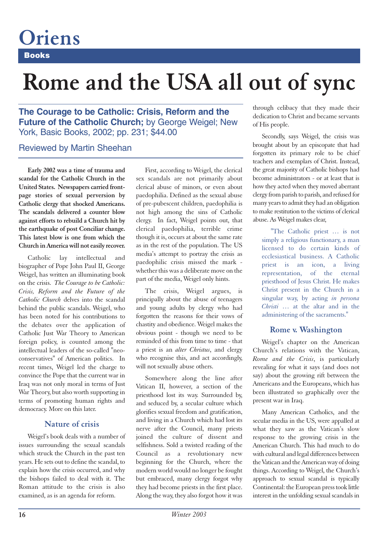## **Books Oriens**

## **Rome and the USA all out of sync**

**The Courage to be Catholic: Crisis, Reform and the Future of the Catholic Church;** by George Weigel; New York, Basic Books, 2002; pp. 231; \$44.00

#### Reviewed by Martin Sheehan

**Early 2002 was a time of trauma and scandal for the Catholic Church in the United States. Newspapers carried frontpage stories of sexual perversion by Catholic clergy that shocked Americans. The scandals delivered a counter blow against efforts to rebuild a Church hit by the earthquake of post Conciliar change. This latest blow is one from which the Church in America will not easily recover.**

Catholic lay intellectual and biographer of Pope John Paul II, George Weigel, has written an illuminating book on the crisis. *The Courage to be Catholic: Crisis, Reform and the Future of the Catholic Church* delves into the scandal behind the public scandals. Weigel, who has been noted for his contributions to the debates over the application of Catholic Just War Theory to American foreign policy, is counted among the intellectual leaders of the so-called "neoconservatives" of American politics. In recent times, Weigel led the charge to convince the Pope that the current war in Iraq was not only moral in terms of Just War Theory, but also worth supporting in terms of promoting human rights and democracy. More on this later.

#### **Nature of crisis**

Weigel's book deals with a number of issues surrounding the sexual scandals which struck the Church in the past ten years. He sets out to define the scandal, to explain how the crisis occurred, and why the bishops failed to deal with it. The Roman attitude to the crisis is also examined, as is an agenda for reform.

First, according to Weigel, the clerical sex scandals are not primarily about clerical abuse of minors, or even about paedophilia. Defined as the sexual abuse of pre-pubescent children, paedophilia is not high among the sins of Catholic clergy. In fact, Weigel points out, that clerical paedophilia, terrible crime though it is, occurs at about the same rate as in the rest of the population. The US media's attempt to portray the crisis as paedophilic crisis missed the mark whether this was a deliberate move on the part of the media, Weigel only hints.

The crisis, Weigel argues, is principally about the abuse of teenagers and young adults by clergy who had forgotten the reasons for their vows of chastity and obedience. Weigel makes the obvious point - though we need to be reminded of this from time to time - that a priest is an *alter Christus*, and clergy who recognise this, and act accordingly, will not sexually abuse others.

Somewhere along the line after Vatican II, however, a section of the priesthood lost its way. Surrounded by, and seduced by, a secular culture which glorifies sexual freedom and gratification, and living in a Church which had lost its nerve after the Council, many priests joined the culture of dissent and selfishness. Sold a twisted reading of the Council as a revolutionary new beginning for the Church, where the modern world would no longer be fought but embraced, many clergy forgot why they had become priests in the first place. Along the way, they also forgot how it was

through celibacy that they made their dedication to Christ and became servants of His people.

Secondly, says Weigel, the crisis was brought about by an episcopate that had forgotten its primary role to be chief teachers and exemplars of Christ. Instead, the great majority of Catholic bishops had become administrators - or at least that is how they acted when they moved aberrant clergy from parish to parish, and refused for many years to admit they had an obligation to make restitution to the victims of clerical abuse. As Weigel makes clear,

"The Catholic priest … is not simply a religious functionary, a man licensed to do certain kinds of ecclesiastical business. A Catholic priest is an icon, a living representation, of the eternal priesthood of Jesus Christ. He makes Christ present in the Church in a singular way, by acting *in persona Christi* … at the altar and in the administering of the sacraments."

#### **Rome v. Washington**

Weigel's chapter on the American Church's relations with the Vatican, *Rome and the Crisis*, is particularly revealing for what it says (and does not say) about the growing rift between the Americans and the Europeans, which has been illustrated so graphically over the present war in Iraq.

Many American Catholics, and the secular media in the US, were appalled at what they saw as the Vatican's slow response to the growing crisis in the American Church. This had much to do with cultural and legal differences between the Vatican and the American way of doing things. According to Weigel, the Church's approach to sexual scandal is typically Continental: the European press took little interest in the unfolding sexual scandals in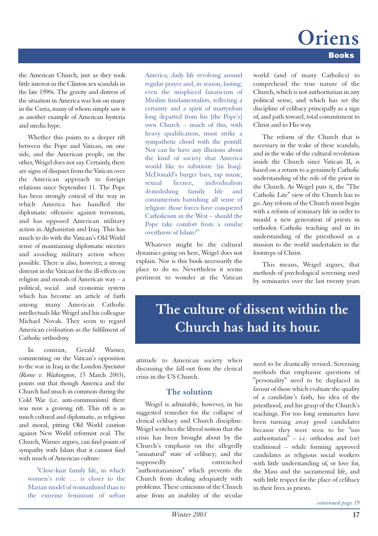### **Books Oriens**

the American Church, just as they took little interest in the Clinton sex scandals in the late 1990s. The gravity and distress of the situation in America was lost on many in the Curia, many of whom simply saw it as another example of American hysteria and media hype.

Whether this points to a deeper rift between the Pope and Vatican, on one side, and the American people, on the other, Weigel does not say. Certainly, there are signs of disquiet from the Vatican over the American approach to foreign relations since September 11. The Pope has been strongly critical of the way in which America has handled the diplomatic offensive against terrorism, and has opposed American military action in Afghanistan and Iraq. This has much to do with the Vatican's Old World sense of maintaining diplomatic niceties and avoiding military action where possible. There is also, however, a strong distrust in the Vatican for the ill-effects on religion and morals of American way – a political, social and economic system which has become an article of faith among many American Catholic intellectuals like Weigel and his colleague Michael Novak. They seem to regard American civilisation as the fulfilment of Catholic orthodoxy.

In contrast, Gerald Warner, commenting on the Vatican's opposition to the war in Iraq in the London *Spectator (Rome v. Washington*, 15 March 2003), points out that though America and the Church had much in common during the Cold War (i.e. anti-communism) there was now a growing rift. This rift is as much cultural and diplomatic, as religious and moral, pitting Old World caution against New World reformist zeal. The Church, Warner argues, can find points of sympathy with Islam that it cannot find with much of American culture:

"Close-knit family life, in which women's role … is closer to the Marian model of womanhood than to the extreme feminism of urban

America; daily life revolving around regular prayer and, in season, fasting; even the misplaced fanaticism of Muslim fundamentalists, reflecting a certainty and a spirit of martyrdom long departed from his [the Pope's] own Church – much of this, with heavy qualification, must strike a sympathetic chord with the pontiff. Nor can he have any illusions about the kind of society that America would like to substitute [in Iraq]. McDonald's burger bars, rap music, sexual licence, individualism demolishing family life and consumerism banishing all sense of religion: those forces have conquered Catholicism in the West – should the Pope take comfort from a similar overthrow of Islam?"

Whatever might be the cultural dynamics going on here, Weigel does not explain. Nor is this book necessarily the place to do so. Nevertheless it seems pertinent to wonder at the Vatican world (and of many Catholics) to comprehend the true nature of the Church, which is not authoritarian in any political sense, and which has set the discipline of celibacy principally as a sign of, and path toward, total commitment to Christ and to His way.

The reform of the Church that is necessary in the wake of these scandals, and in the wake of the cultural revolution inside the Church since Vatican II, is based on a return to a genuinely Catholic understanding of the role of the priest in the Church. As Weigel puts it, the "The Catholic Lite" view of the Church has to go. Any reform of the Church must begin with a reform of seminary life in order to mould a new generation of priests in orthodox Catholic teaching and in its understanding of the priesthood as a mission to the world undertaken in the footsteps of Christ.

This means, Weigel argues, that methods of psychological screening used by seminaries over the last twenty years

## **The culture of dissent within the Church has had its hour.**

attitude to American society when discussing the fall-out from the clerical crisis in the US Church.

#### **The solution**

Weigel is admirable, however, in his suggested remedies for the collapse of clerical celibacy and Church discipline. Weigel scotches the liberal notion that the crisis has been brought about by the Church's emphasis on the allegedly "unnatural" state of celibacy; and the supposedly entrenched "authoritarianism" which prevents the Church from dealing adequately with problems. These criticisms of the Church arise from an inability of the secular need to be drastically revised. Screening methods that emphasise questions of "personality" need to be displaced in favour of those which evaluate the quality of a candidate's faith, his idea of the priesthood, and his grasp of the Church's teachings. For too long seminaries have been turning away good candidates because they were seen to be "too authoritarian" – i.e. orthodox and (or) traditional – while forming approved candidates as religious social workers with little understanding of, or love for, the Mass and the sacramental life, and with little respect for the place of celibacy in their lives as priests.

*continued page 19*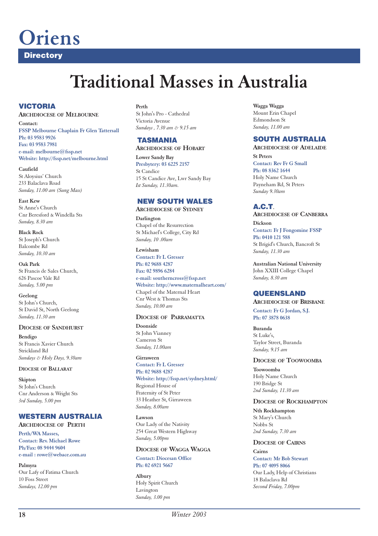## **Oriens**

**Directory**

## **Traditional Masses in Australia**

#### **VICTORIA**

#### **ARCHDIOCESE OF MELBOURNE**

**Contact: FSSP Melbourne Chaplain Fr Glen Tattersall Ph: 03 9583 9926 Fax: 03 9583 7981 e-mail: melbourne@fssp.net Website: http://fssp.net/melbourne.html**

**Caufield** St Aloysius' Church 233 Balaclava Road *Sunday, 11.00 am (Sung Mass)*

**East Kew** St Anne's Church Cnr Beresford & Windella Sts *Sunday, 8.30 am*

**Black Rock**  St Joseph's Church Balcombe Rd *Sunday, 10.30 am*

**Oak Park** St Francis de Sales Church, 626 Pascoe Vale Rd *Sunday, 5.00 pm*

**Geelong** St John's Church, St David St, North Geelong *Sunday, 11.30 am*

#### **DIOCESE OF SANDHURST**

**Bendigo** St Francis Xavier Church Strickland Rd *Sundays & Holy Days, 9.30am*

#### **DIOCESE OF BALLARAT**

**Skipton** St John's Church Cnr Anderson & Wright Sts *3rd Sunday, 5.00 pm*

#### **WESTERN AUSTRALIA**

**ARCHDIOCESE OF PERTH**

**Perth/WA Masses, Contact: Rev. Michael Rowe Ph/Fax: 08 9444 9604 e-mail : rowe@webace.com.au**

**Palmyra**  Our Lafy of Fatima Church 10 Foss Street *Sundays, 12.00 pm*

**Perth** 

St John's Pro - Cathedral Victoria Avenue *Sundays , 7.30 am & 9.15 am*

**TASMANIA ARCHDIOCESE OF HOBART**

**Lower Sandy Bay Presbytery: 03 6225 2157** St Candice 15 St Candice Ave, Lwr Sandy Bay *Ist Sunday, 11.30am.*

#### **NEW SOUTH WALES**

**ARCHDIOCESE OF SYDNEY**

**Darlington** Chapel of the Resurrection St Michael's College, City Rd *Sunday, 10 .00am*

**Lewisham Contact: Fr L Gresser Ph: 02 9688 4287 Fax: 02 9896 6284 e-mail: southerncross@fssp.net Website: http://www.maternalheart.com/** Chapel of the Maternal Heart Cnr West & Thomas Sts *Sunday, 10.00 am*

#### **DIOCESE OF PARRAMATTA**

**Doonside** St John Vianney Cameron St *Sunday, 11.00am*

**Girraween Contact: Fr L Gresser Ph: 02 9688 4287**

**Website: http://fssp.net/sydney.html/**  Regional House of Fraternity of St Peter 33 Heather St, Girraween *Sunday, 8.00am*

**Lawson** Our Lady of the Nativity 254 Great Western Highway *Sunday, 5.00pm*

#### **DIOCESE OF WAGGA WAGGA**

**Contact: Diocesan Office Ph: 02 6921 5667**

**Albury** Holy Spirit Church Lavington *Sunday, 3.00 pm*

**Wagga Wagga** Mount Erin Chapel Edmondson St *Sunday, 11.00 am*

#### **SOUTH AUSTRALIA**

**ARCHDIOCESE OF ADELAIDE**

**St Peters Contact: Rev Fr G Small Ph: 08 8362 1644** Holy Name Church Payneham Rd, St Peters *Sunday 9.30am*

**A.C.T**. **ARCHDIOCESE OF CANBERRA**

**Dickson Contact: Fr J Fongomine FSSP Ph: 0410 121 588**  St Brigid's Church, Bancroft St *Sunday, 11.30 am*

**Australian National University** John XXIII College Chapel *Sunday, 8.30 am*

#### **QUEENSLAND**

**ARCHDIOCESE OF BRISBANE Contact: Fr G Jordan, S.J. Ph: 07 3878 0638**

**Buranda** St Luke's, Taylor Street, Buranda *Sunday, 9.15 am*

#### **DIOCESE OF TOOWOOMBA**

**Toowoomba** Holy Name Church 190 Bridge St *2nd Sunday, 11.30 am*

#### **DIOCESE OF ROCKHAMPTON**

**Nth Rockhampton** St Mary's Church Nobbs St *2nd Sunday, 7.30 am*

#### **DIOCESE OF CAIRNS**

**Cairns Contact: Mr Bob Stewart Ph: 07 4095 8066**  Our Lady, Help of Christians 18 Balaclava Rd *Second Friday, 7.00pm*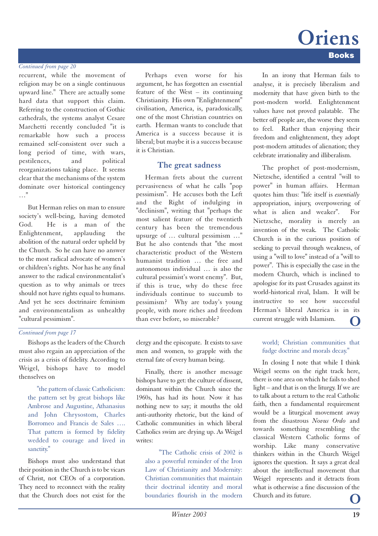#### *Continued from page 20*

recurrent, while the movement of religion may be on a single continuous upward line." There are actually some hard data that support this claim. Referring to the construction of Gothic cathedrals, the systems analyst Cesare Marchetti recently concluded "it is remarkable how such a process remained self-consistent over such a long period of time, with wars, pestilences, and political reorganizations taking place. It seems clear that the mechanisms of the system dominate over historical contingency …"

But Herman relies on man to ensure society's well-being, having demoted God. He is a man of the Enlightenment, applauding the abolition of the natural order upheld by the Church. So he can have no answer to the most radical advocate of women's or children's rights. Nor has he any final answer to the radical environmentalist's question as to why animals or trees should not have rights equal to humans. And yet he sees doctrinaire feminism and environmentalism as unhealthy "cultural pessimism".

#### Perhaps even worse for his argument, he has forgotten an essential feature of the West – its continuing Christianity. His own "Enlightenment" civilisation, America, is, paradoxically, one of the most Christian countries on earth. Herman wants to conclude that America is a success because it is liberal; but maybe it is a success because it is Christian.

#### **The great sadness**

Herman frets about the current pervasiveness of what he calls "pop pessimism". He accuses both the Left and the Right of indulging in "declinism", writing that "perhaps the most salient feature of the twentieth century has been the tremendous upsurge of … cultural pessimism …" But he also contends that "the most characteristic product of the Western humanist tradition … the free and autonomous individual … is also the cultural pessimist's worst enemy". But, if this is true, why do these free individuals continue to succumb to pessimism? Why are today's young people, with more riches and freedom than ever before, so miserable?

#### *Continued from page 17*

Bishops as the leaders of the Church must also regain an appreciation of the crisis as a crisis of fidelity. According to Weigel, bishops have to model thenselves on

"the pattern of classic Catholicism: the pattern set by great bishops like Ambrose and Augustine, Athanasius and John Chrysostom, Charles Borromeo and Francis de Sales …. That pattern is formed by fidelity wedded to courage and lived in sanctity."

Bishops must also understand that their position in the Church is to be vicars of Christ, not CEOs of a corporation. They need to reconnect with the reality that the Church does not exist for the

clergy and the episcopate. It exists to save men and women, to grapple with the eternal fate of every human being.

Finally, there is another message bishops have to get: the culture of dissent, dominant within the Church since the 1960s, has had its hour. Now it has nothing new to say; it mouths the old anti-authority rhetoric, but the kind of Catholic communities in which liberal Catholics swim are drying up. As Weigel writes:

"The Catholic crisis of 2002 is also a powerful reminder of the Iron Law of Christianity and Modernity: Christian communities that maintain their doctrinal identity and moral boundaries flourish in the modern

In an irony that Herman fails to analyse, it is precisely liberalism and modernity that have given birth to the post-modern world. Enlightenment values have not proved palatable. The better off people are, the worse they seem to feel. Rather than enjoying their freedom and enlightenment, they adopt post-modern attitudes of alienation; they celebrate irrationality and illiberalism.

The prophet of post-modernism, Nietzsche, identified a central "will to power" in human affairs. Herman quotes him thus: "life itself is *essentially* appropriation, injury, overpowering of what is alien and weaker". For Nietzsche, morality is merely an invention of the weak. The Catholic Church is in the curious position of seeking to prevail through weakness, of using a "will to love" instead of a "will to power". This is especially the case in the modern Church, which is inclined to apologise for its past Crusades against its world-historical rival, Islam. It will be instructive to see how successful Herman's liberal America is in its current struggle with Islamism.

#### world; Christian communities that fudge doctrine and morals decay."

In closing I note that while I think Weigel seems on the right track here, there is one area on which he fails to shed light – and that is on the liturgy. If we are to talk about a return to the real Catholic faith, then a fundamental requirement would be a liturgical movement away from the disastrous *Novus Ordo* and towards something resembling the classical Western Catholic forms of worship. Like many conservative thinkers within in the Church Weigel ignores the question. It says a great deal about the intellectual movement that Weigel represents and it detracts from what is otherwise a fine discussion of the Church and its future.